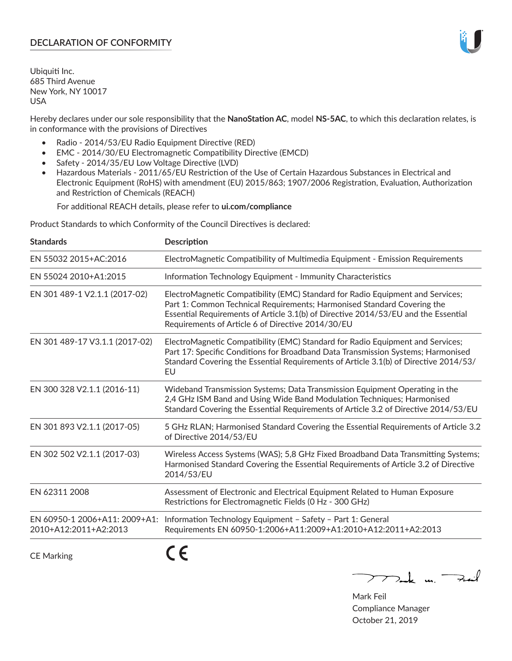## **DECLARATION OF CONFORMITY**

Ubiquiti Inc. 685 Third Avenue New York, NY 10017 USA

Hereby declares under our sole responsibility that the **NanoStation AC**, model **NS-5AC**, to which this declaration relates, is in conformance with the provisions of Directives

- Radio 2014/53/EU Radio Equipment Directive (RED)
- EMC 2014/30/EU Electromagnetic Compatibility Directive (EMCD)
- Safety 2014/35/EU Low Voltage Directive (LVD)
- Hazardous Materials 2011/65/EU Restriction of the Use of Certain Hazardous Substances in Electrical and Electronic Equipment (RoHS) with amendment (EU) 2015/863; 1907/2006 Registration, Evaluation, Authorization and Restriction of Chemicals (REACH)

For additional REACH details, please refer to **ui.com/compliance**

Product Standards to which Conformity of the Council Directives is declared:

| <b>Standards</b>                                       | <b>Description</b>                                                                                                                                                                                                                                                                                   |
|--------------------------------------------------------|------------------------------------------------------------------------------------------------------------------------------------------------------------------------------------------------------------------------------------------------------------------------------------------------------|
| EN 55032 2015+AC:2016                                  | ElectroMagnetic Compatibility of Multimedia Equipment - Emission Requirements                                                                                                                                                                                                                        |
| EN 55024 2010+A1:2015                                  | Information Technology Equipment - Immunity Characteristics                                                                                                                                                                                                                                          |
| EN 301 489-1 V2.1.1 (2017-02)                          | ElectroMagnetic Compatibility (EMC) Standard for Radio Equipment and Services;<br>Part 1: Common Technical Requirements; Harmonised Standard Covering the<br>Essential Requirements of Article 3.1(b) of Directive 2014/53/EU and the Essential<br>Requirements of Article 6 of Directive 2014/30/EU |
| EN 301 489-17 V3.1.1 (2017-02)                         | ElectroMagnetic Compatibility (EMC) Standard for Radio Equipment and Services;<br>Part 17: Specific Conditions for Broadband Data Transmission Systems; Harmonised<br>Standard Covering the Essential Requirements of Article 3.1(b) of Directive 2014/53/<br>EU                                     |
| EN 300 328 V2.1.1 (2016-11)                            | Wideband Transmission Systems; Data Transmission Equipment Operating in the<br>2,4 GHz ISM Band and Using Wide Band Modulation Techniques; Harmonised<br>Standard Covering the Essential Requirements of Article 3.2 of Directive 2014/53/EU                                                         |
| EN 301 893 V2.1.1 (2017-05)                            | 5 GHz RLAN; Harmonised Standard Covering the Essential Requirements of Article 3.2<br>of Directive 2014/53/EU                                                                                                                                                                                        |
| EN 302 502 V2.1.1 (2017-03)                            | Wireless Access Systems (WAS); 5,8 GHz Fixed Broadband Data Transmitting Systems;<br>Harmonised Standard Covering the Essential Requirements of Article 3.2 of Directive<br>2014/53/EU                                                                                                               |
| EN 62311 2008                                          | Assessment of Electronic and Electrical Equipment Related to Human Exposure<br>Restrictions for Electromagnetic Fields (0 Hz - 300 GHz)                                                                                                                                                              |
| EN 60950-1 2006+A11: 2009+A1:<br>2010+A12:2011+A2:2013 | Information Technology Equipment - Safety - Part 1: General<br>Requirements EN 60950-1:2006+A11:2009+A1:2010+A12:2011+A2:2013                                                                                                                                                                        |
|                                                        | - -                                                                                                                                                                                                                                                                                                  |

CE Marking

CE

 $\nabla$  and  $\nabla$  and  $\nabla$ 

Mark Feil Compliance Manager October 21, 2019

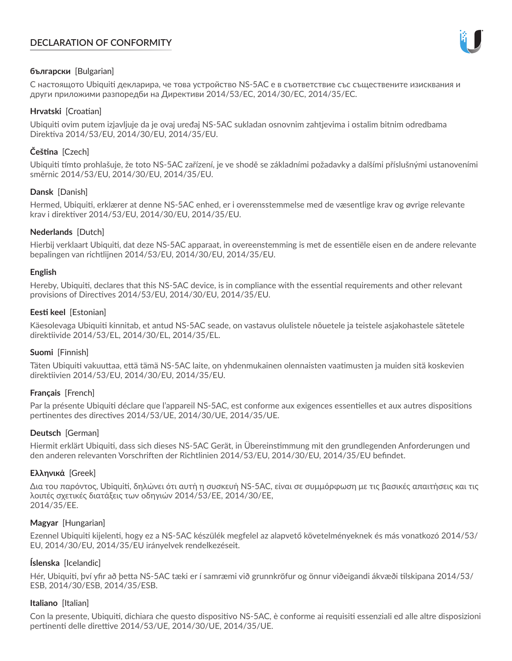# **DECLARATION OF CONFORMITY**



## **български** [Bulgarian]

С настоящото Ubiquiti декларира, че това устройство NS-5AC е в съответствие със съществените изисквания и други приложими разпоредби на Директиви 2014/53/EC, 2014/30/ЕС, 2014/35/ЕС.

## **Hrvatski** [Croatian]

Ubiquiti ovim putem izjavljuje da je ovaj uređaj NS-5AC sukladan osnovnim zahtjevima i ostalim bitnim odredbama Direktiva 2014/53/EU, 2014/30/EU, 2014/35/EU.

# **Čeština** [Czech]

Ubiquiti tímto prohlašuje, že toto NS-5AC zařízení, je ve shodě se základními požadavky a dalšími příslušnými ustanoveními směrnic 2014/53/EU, 2014/30/EU, 2014/35/EU.

## **Dansk** [Danish]

Hermed, Ubiquiti, erklærer at denne NS-5AC enhed, er i overensstemmelse med de væsentlige krav og øvrige relevante krav i direktiver 2014/53/EU, 2014/30/EU, 2014/35/EU.

## **Nederlands** [Dutch]

Hierbij verklaart Ubiquiti, dat deze NS-5AC apparaat, in overeenstemming is met de essentiële eisen en de andere relevante bepalingen van richtlijnen 2014/53/EU, 2014/30/EU, 2014/35/EU.

## **English**

Hereby, Ubiquiti, declares that this NS-5AC device, is in compliance with the essential requirements and other relevant provisions of Directives 2014/53/EU, 2014/30/EU, 2014/35/EU.

## **Eesti keel** [Estonian]

Käesolevaga Ubiquiti kinnitab, et antud NS-5AC seade, on vastavus olulistele nõuetele ja teistele asjakohastele sätetele direktiivide 2014/53/EL, 2014/30/EL, 2014/35/EL.

## **Suomi** [Finnish]

Täten Ubiquiti vakuuttaa, että tämä NS-5AC laite, on yhdenmukainen olennaisten vaatimusten ja muiden sitä koskevien direktiivien 2014/53/EU, 2014/30/EU, 2014/35/EU.

# **Français** [French]

Par la présente Ubiquiti déclare que l'appareil NS-5AC, est conforme aux exigences essentielles et aux autres dispositions pertinentes des directives 2014/53/UE, 2014/30/UE, 2014/35/UE.

# **Deutsch** [German]

Hiermit erklärt Ubiquiti, dass sich dieses NS-5AC Gerät, in Übereinstimmung mit den grundlegenden Anforderungen und den anderen relevanten Vorschriften der Richtlinien 2014/53/EU, 2014/30/EU, 2014/35/EU befindet.

## **Ελληνικά** [Greek]

Δια του παρόντος, Ubiquiti, δηλώνει ότι αυτή η συσκευή NS-5AC, είναι σε συμμόρφωση με τις βασικές απαιτήσεις και τις λοιπές σχετικές διατάξεις των οδηγιών 2014/53/EE, 2014/30/EE, 2014/35/EE.

## **Magyar** [Hungarian]

Ezennel Ubiquiti kijelenti, hogy ez a NS-5AC készülék megfelel az alapvető követelményeknek és más vonatkozó 2014/53/ EU, 2014/30/EU, 2014/35/EU irányelvek rendelkezéseit.

# **Íslenska** [Icelandic]

Hér, Ubiquiti, því yfir að þetta NS-5AC tæki er í samræmi við grunnkröfur og önnur viðeigandi ákvæði tilskipana 2014/53/ ESB, 2014/30/ESB, 2014/35/ESB.

## **Italiano** [Italian]

Con la presente, Ubiquiti, dichiara che questo dispositivo NS-5AC, è conforme ai requisiti essenziali ed alle altre disposizioni pertinenti delle direttive 2014/53/UE, 2014/30/UE, 2014/35/UE.